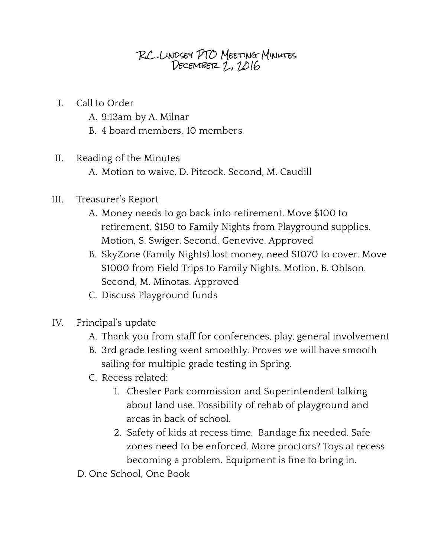## R.C .Lindsey PTO Meeting Minutes DECEMBER 2, 1016

- I. Call to Order
	- A. 9:13am by A. Milnar
	- B. 4 board members, 10 members
- II. Reading of the Minutes
	- A. Motion to waive, D. Pitcock. Second, M. Caudill
- III. Treasurer's Report
	- A. Money needs to go back into retirement. Move \$100 to retirement, \$150 to Family Nights from Playground supplies. Motion, S. Swiger. Second, Genevive. Approved
	- B. SkyZone (Family Nights) lost money, need \$1070 to cover. Move \$1000 from Field Trips to Family Nights. Motion, B. Ohlson. Second, M. Minotas. Approved
	- C. Discuss Playground funds
- IV. Principal's update
	- A. Thank you from staff for conferences, play, general involvement
	- B. 3rd grade testing went smoothly. Proves we will have smooth sailing for multiple grade testing in Spring.
	- C. Recess related:
		- 1. Chester Park commission and Superintendent talking about land use. Possibility of rehab of playground and areas in back of school.
		- 2. Safety of kids at recess time. Bandage fix needed. Safe zones need to be enforced. More proctors? Toys at recess becoming a problem. Equipment is fine to bring in.
	- D. One School, One Book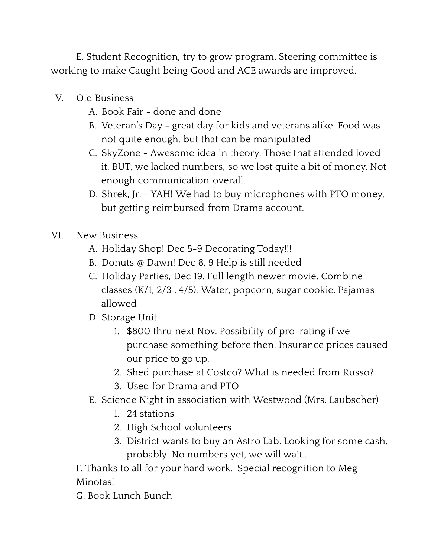E. Student Recognition, try to grow program. Steering committee is working to make Caught being Good and ACE awards are improved.

- V. Old Business
	- A. Book Fair done and done
	- B. Veteran's Day great day for kids and veterans alike. Food was not quite enough, but that can be manipulated
	- C. SkyZone Awesome idea in theory. Those that attended loved it. BUT, we lacked numbers, so we lost quite a bit of money. Not enough communication overall.
	- D. Shrek, Jr. YAH! We had to buy microphones with PTO money, but getting reimbursed from Drama account.
- VI. New Business
	- A. Holiday Shop! Dec 5-9 Decorating Today!!!
	- B. Donuts @ Dawn! Dec 8, 9 Help is still needed
	- C. Holiday Parties, Dec 19. Full length newer movie. Combine classes (K/1, 2/3 , 4/5). Water, popcorn, sugar cookie. Pajamas allowed
	- D. Storage Unit
		- 1. \$800 thru next Nov. Possibility of pro-rating if we purchase something before then. Insurance prices caused our price to go up.
		- 2. Shed purchase at Costco? What is needed from Russo?
		- 3. Used for Drama and PTO
	- E. Science Night in association with Westwood (Mrs. Laubscher)
		- 1. 24 stations
		- 2. High School volunteers
		- 3. District wants to buy an Astro Lab. Looking for some cash, probably. No numbers yet, we will wait...

F. Thanks to all for your hard work. Special recognition to Meg Minotas!

G. Book Lunch Bunch